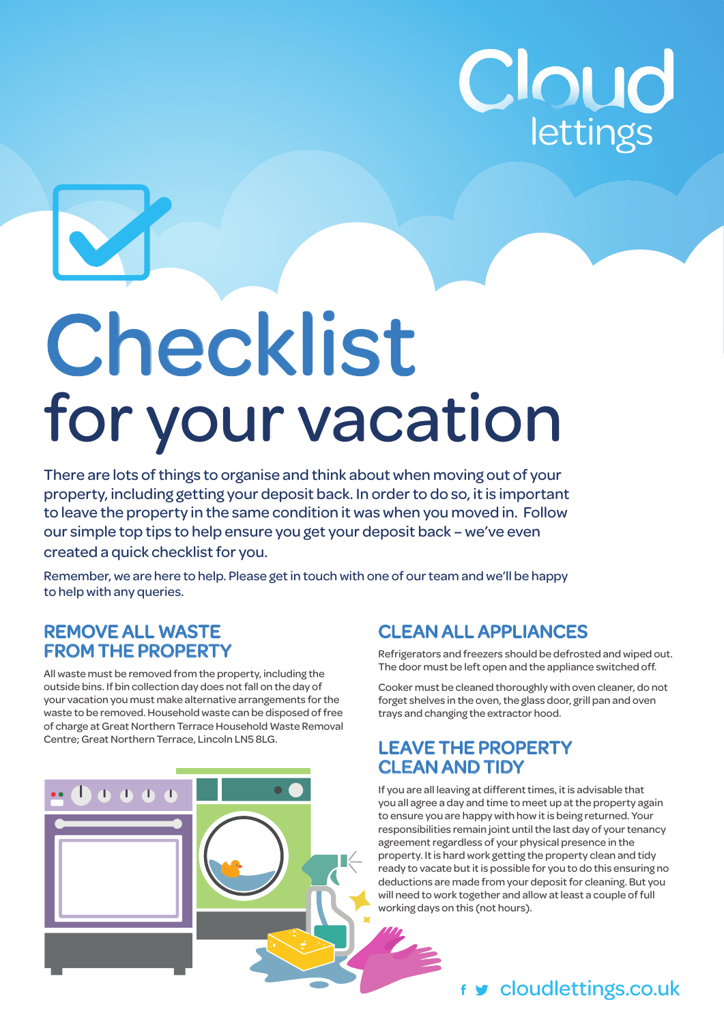

# Checklist<br>for your vacation

There are lots of things to organise and think about when moving out of your property, including getting your deposit back. In order to do so, it is important to leave the property in the same condition it was when you moved in. Follow our simple top tips to help ensure you get your deposit back – we've even created a quick checklist for you.

Remember, we are here to help. Please get in touch with one of our team and we'll be happy to help with any queries.

#### **REMOVE ALL WASTE FROM THE PROPERTY**

All waste must be removed from the property, including the outside bins. If bin collection day does not fall on the day of your vacation you must make alternative arrangements for the waste to be removed. Household waste can be disposed of free of charge at Great Northern Terrace Household Waste Removal Centre; Great Northern Terrace, Lincoln LN5 8LG.



# **CLEAN ALL APPLIANCES**

Refrigerators and freezers should be defrosted and wiped out. The door must be left open and the appliance switched off.

Cooker must be cleaned thoroughly with oven cleaner, do not forget shelves in the oven, the glass door, grill pan and oven trays and changing the extractor hood.

#### **LEAVE THE PROPERTY CLEAN AND TIDY**

If you are all leaving at different times, it is advisable that you all agree a day and time to meet up at the property again to ensure you are happy with how it is being returned. Your responsibilities remain joint until the last day of your tenancy agreement regardless of your physical presence in the property. It is hard work getting the property clean and tidy ready to vacate but it is possible for you to do this ensuring no deductions are made from your deposit for cleaning. But you will need to work together and allow at least a couple of full working days on this (not hours).

# f **y** cloudlettings.co.uk